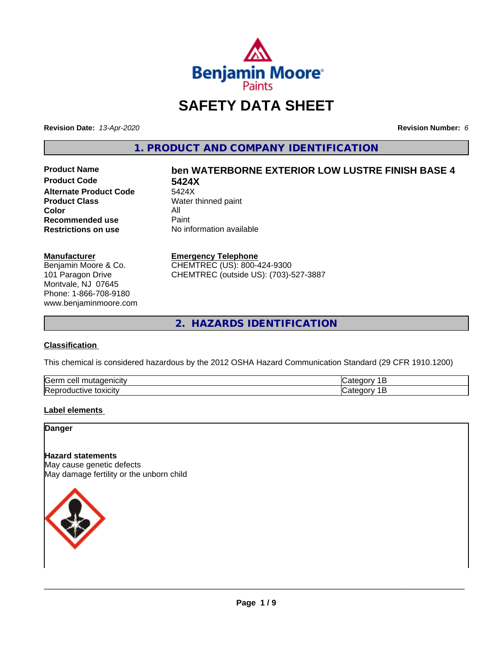

# **SAFETY DATA SHEET**

**Revision Date:** *13-Apr-2020* **Revision Number:** *6*

**1. PRODUCT AND COMPANY IDENTIFICATION**

**Product Code 5424X Alternate Product Code** 5424X<br>**Product Class** Water **Color** All<br> **Recommended use** Paint **Recommended use**<br>Restrictions on use

# **Product Name ben WATERBORNE EXTERIOR LOW LUSTRE FINISH BASE 4**

**Water thinned paint No information available** 

#### **Manufacturer**

Benjamin Moore & Co. 101 Paragon Drive Montvale, NJ 07645 Phone: 1-866-708-9180 www.benjaminmoore.com

#### **Emergency Telephone**

CHEMTREC (US): 800-424-9300 CHEMTREC (outside US): (703)-527-3887

**2. HAZARDS IDENTIFICATION**

# **Classification**

This chemical is considered hazardous by the 2012 OSHA Hazard Communication Standard (29 CFR 1910.1200)

| Gern<br>$\sim$ $\sim$ $\sim$<br>utac<br>cell<br>ш.<br>пыс |  |
|-----------------------------------------------------------|--|
| lRer<br>.<br>м<br><b>LOXICITV</b>                         |  |

# **Label elements**

**Danger**

# **Hazard statements**

May cause genetic defects May damage fertility or the unborn child

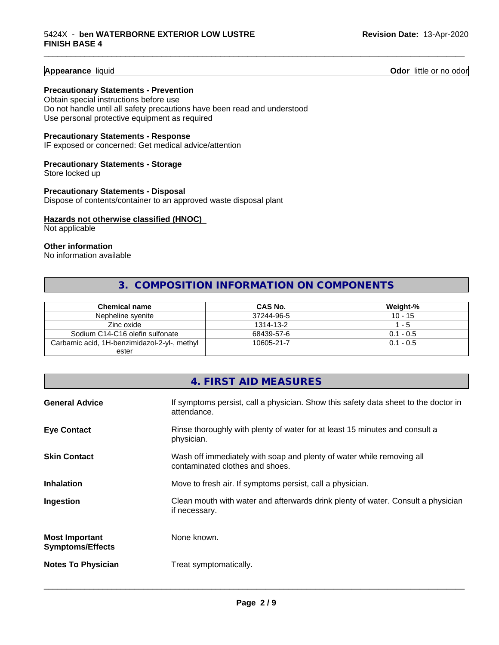# **Appearance** liquid

**Odor** little or no odor

#### **Precautionary Statements - Prevention**

Obtain special instructions before use Do not handle until all safety precautions have been read and understood Use personal protective equipment as required

# **Precautionary Statements - Response**

IF exposed or concerned: Get medical advice/attention

# **Precautionary Statements - Storage**

Store locked up

# **Precautionary Statements - Disposal** Dispose of contents/container to an approved waste disposal plant

# **Hazards not otherwise classified (HNOC)**

Not applicable

# **Other information**

No information available

# **3. COMPOSITION INFORMATION ON COMPONENTS**

\_\_\_\_\_\_\_\_\_\_\_\_\_\_\_\_\_\_\_\_\_\_\_\_\_\_\_\_\_\_\_\_\_\_\_\_\_\_\_\_\_\_\_\_\_\_\_\_\_\_\_\_\_\_\_\_\_\_\_\_\_\_\_\_\_\_\_\_\_\_\_\_\_\_\_\_\_\_\_\_\_\_\_\_\_\_\_\_\_\_\_\_\_

| Chemical name                                | CAS No.    | Weight-%    |
|----------------------------------------------|------------|-------------|
| Nepheline svenite                            | 37244-96-5 | $10 - 15$   |
| Zinc oxide                                   | 1314-13-2  | - 5         |
| Sodium C14-C16 olefin sulfonate              | 68439-57-6 | $0.1 - 0.5$ |
| Carbamic acid, 1H-benzimidazol-2-yl-, methyl | 10605-21-7 | $0.1 - 0.5$ |
| ester                                        |            |             |

# **4. FIRST AID MEASURES**

| <b>General Advice</b>                            | If symptoms persist, call a physician. Show this safety data sheet to the doctor in<br>attendance.       |
|--------------------------------------------------|----------------------------------------------------------------------------------------------------------|
| <b>Eye Contact</b>                               | Rinse thoroughly with plenty of water for at least 15 minutes and consult a<br>physician.                |
| <b>Skin Contact</b>                              | Wash off immediately with soap and plenty of water while removing all<br>contaminated clothes and shoes. |
| <b>Inhalation</b>                                | Move to fresh air. If symptoms persist, call a physician.                                                |
| Ingestion                                        | Clean mouth with water and afterwards drink plenty of water. Consult a physician<br>if necessary.        |
| <b>Most Important</b><br><b>Symptoms/Effects</b> | None known.                                                                                              |
| <b>Notes To Physician</b>                        | Treat symptomatically.                                                                                   |
|                                                  |                                                                                                          |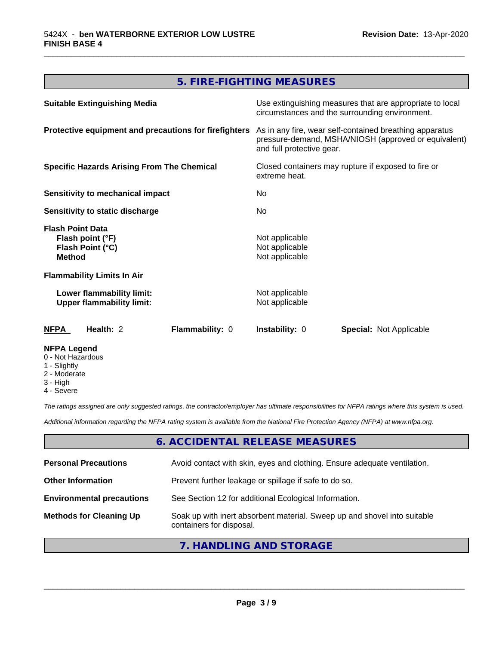# **5. FIRE-FIGHTING MEASURES**

\_\_\_\_\_\_\_\_\_\_\_\_\_\_\_\_\_\_\_\_\_\_\_\_\_\_\_\_\_\_\_\_\_\_\_\_\_\_\_\_\_\_\_\_\_\_\_\_\_\_\_\_\_\_\_\_\_\_\_\_\_\_\_\_\_\_\_\_\_\_\_\_\_\_\_\_\_\_\_\_\_\_\_\_\_\_\_\_\_\_\_\_\_

| <b>Suitable Extinguishing Media</b>                                              | Use extinguishing measures that are appropriate to local<br>circumstances and the surrounding environment.                                   |
|----------------------------------------------------------------------------------|----------------------------------------------------------------------------------------------------------------------------------------------|
| Protective equipment and precautions for firefighters                            | As in any fire, wear self-contained breathing apparatus<br>pressure-demand, MSHA/NIOSH (approved or equivalent)<br>and full protective gear. |
| <b>Specific Hazards Arising From The Chemical</b>                                | Closed containers may rupture if exposed to fire or<br>extreme heat.                                                                         |
| <b>Sensitivity to mechanical impact</b>                                          | No.                                                                                                                                          |
| Sensitivity to static discharge                                                  | No.                                                                                                                                          |
| <b>Flash Point Data</b><br>Flash point (°F)<br>Flash Point (°C)<br><b>Method</b> | Not applicable<br>Not applicable<br>Not applicable                                                                                           |
| <b>Flammability Limits In Air</b>                                                |                                                                                                                                              |
| Lower flammability limit:<br><b>Upper flammability limit:</b>                    | Not applicable<br>Not applicable                                                                                                             |
| Flammability: 0<br>Health: 2<br>NFPA                                             | <b>Instability: 0</b><br><b>Special: Not Applicable</b>                                                                                      |
| <b>NFPA Legend</b><br>0 - Not Hazardous<br>1 - Slightly                          |                                                                                                                                              |

- 
- 2 Moderate
- 3 High
- 4 Severe

*The ratings assigned are only suggested ratings, the contractor/employer has ultimate responsibilities for NFPA ratings where this system is used.*

*Additional information regarding the NFPA rating system is available from the National Fire Protection Agency (NFPA) at www.nfpa.org.*

# **6. ACCIDENTAL RELEASE MEASURES**

| <b>Personal Precautions</b>      | Avoid contact with skin, eyes and clothing. Ensure adequate ventilation.                             |
|----------------------------------|------------------------------------------------------------------------------------------------------|
| <b>Other Information</b>         | Prevent further leakage or spillage if safe to do so.                                                |
| <b>Environmental precautions</b> | See Section 12 for additional Ecological Information.                                                |
| <b>Methods for Cleaning Up</b>   | Soak up with inert absorbent material. Sweep up and shovel into suitable<br>containers for disposal. |

# **7. HANDLING AND STORAGE**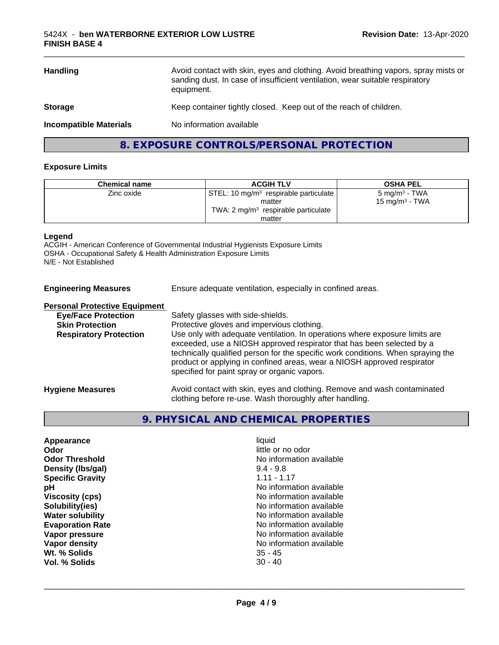| <b>Handling</b>               | Avoid contact with skin, eyes and clothing. Avoid breathing vapors, spray mists or<br>sanding dust. In case of insufficient ventilation, wear suitable respiratory<br>equipment. |
|-------------------------------|----------------------------------------------------------------------------------------------------------------------------------------------------------------------------------|
| <b>Storage</b>                | Keep container tightly closed. Keep out of the reach of children.                                                                                                                |
| <b>Incompatible Materials</b> | No information available                                                                                                                                                         |
|                               |                                                                                                                                                                                  |

**8. EXPOSURE CONTROLS/PERSONAL PROTECTION**

#### **Exposure Limits**

| <b>Chemical name</b> | <b>ACGIH TLV</b>                                            | <b>OSHA PEL</b>            |
|----------------------|-------------------------------------------------------------|----------------------------|
| Zinc oxide           | $\sqrt{STEL}$ : 10 mg/m <sup>3</sup> respirable particulate | 5 mg/m <sup>3</sup> - TWA  |
|                      | matter                                                      | 15 mg/m <sup>3</sup> - TWA |
|                      | TWA: $2 \text{ mg/m}^3$ respirable particulate              |                            |
|                      | matter                                                      |                            |

# **Legend**

ACGIH - American Conference of Governmental Industrial Hygienists Exposure Limits OSHA - Occupational Safety & Health Administration Exposure Limits N/E - Not Established

**Engineering Measures** Ensure adequate ventilation, especially in confined areas.

#### **Personal Protective Equipment**

| <b>Eye/Face Protection</b>    | Safety glasses with side-shields.                                                                                                                                                                                                                                                    |
|-------------------------------|--------------------------------------------------------------------------------------------------------------------------------------------------------------------------------------------------------------------------------------------------------------------------------------|
| <b>Skin Protection</b>        | Protective gloves and impervious clothing.                                                                                                                                                                                                                                           |
| <b>Respiratory Protection</b> | Use only with adequate ventilation. In operations where exposure limits are                                                                                                                                                                                                          |
|                               | exceeded, use a NIOSH approved respirator that has been selected by a<br>technically qualified person for the specific work conditions. When spraying the<br>product or applying in confined areas, wear a NIOSH approved respirator<br>specified for paint spray or organic vapors. |
| <b>Hygiene Measures</b>       | Avoid contact with skin, eyes and clothing. Remove and wash contaminated<br>clothing before re-use. Wash thoroughly after handling.                                                                                                                                                  |

# **9. PHYSICAL AND CHEMICAL PROPERTIES**

| Appearance              | liauid                   |  |
|-------------------------|--------------------------|--|
| Odor                    | little or no odor        |  |
| <b>Odor Threshold</b>   | No information available |  |
| Density (Ibs/gal)       | $9.4 - 9.8$              |  |
| <b>Specific Gravity</b> | $1.11 - 1.17$            |  |
| рH                      | No information available |  |
| <b>Viscosity (cps)</b>  | No information available |  |
| Solubility(ies)         | No information available |  |
| <b>Water solubility</b> | No information available |  |
| <b>Evaporation Rate</b> | No information available |  |
| Vapor pressure          | No information available |  |
| Vapor density           | No information available |  |
| Wt. % Solids            | $35 - 45$                |  |
| Vol. % Solids           | $30 - 40$                |  |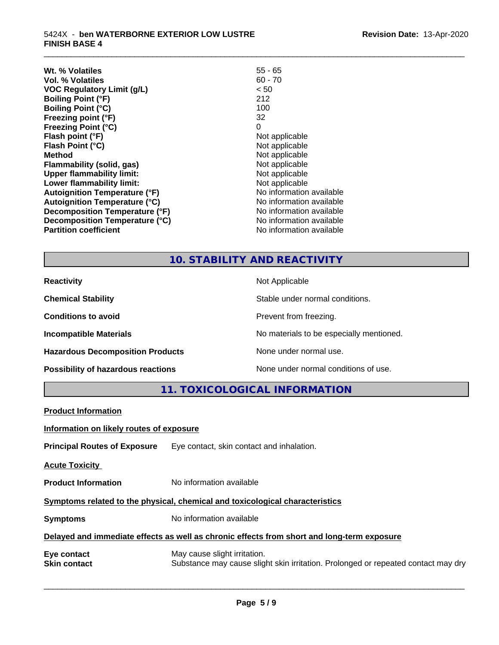| W <sub>t.</sub> % Volatiles          | $55 - 65$                |
|--------------------------------------|--------------------------|
| Vol. % Volatiles                     | $60 - 70$                |
| <b>VOC Regulatory Limit (g/L)</b>    | < 50                     |
| <b>Boiling Point (°F)</b>            | 212                      |
| <b>Boiling Point (°C)</b>            | 100                      |
| Freezing point (°F)                  | 32                       |
| <b>Freezing Point (°C)</b>           | 0                        |
| Flash point (°F)                     | Not applicable           |
| Flash Point (°C)                     | Not applicable           |
| <b>Method</b>                        | Not applicable           |
| Flammability (solid, gas)            | Not applicable           |
| <b>Upper flammability limit:</b>     | Not applicable           |
| Lower flammability limit:            | Not applicable           |
| <b>Autoignition Temperature (°F)</b> | No information available |
| <b>Autoignition Temperature (°C)</b> | No information available |
| Decomposition Temperature (°F)       | No information available |
| Decomposition Temperature (°C)       | No information available |
| <b>Partition coefficient</b>         | No information available |

# **10. STABILITY AND REACTIVITY**

\_\_\_\_\_\_\_\_\_\_\_\_\_\_\_\_\_\_\_\_\_\_\_\_\_\_\_\_\_\_\_\_\_\_\_\_\_\_\_\_\_\_\_\_\_\_\_\_\_\_\_\_\_\_\_\_\_\_\_\_\_\_\_\_\_\_\_\_\_\_\_\_\_\_\_\_\_\_\_\_\_\_\_\_\_\_\_\_\_\_\_\_\_

| <b>Reactivity</b>                         | Not Applicable                           |
|-------------------------------------------|------------------------------------------|
| <b>Chemical Stability</b>                 | Stable under normal conditions.          |
| <b>Conditions to avoid</b>                | Prevent from freezing.                   |
| <b>Incompatible Materials</b>             | No materials to be especially mentioned. |
| <b>Hazardous Decomposition Products</b>   | None under normal use.                   |
| <b>Possibility of hazardous reactions</b> | None under normal conditions of use.     |

**11. TOXICOLOGICAL INFORMATION**

| <b>Product Information</b>                                                                 |                                                                                                                   |  |
|--------------------------------------------------------------------------------------------|-------------------------------------------------------------------------------------------------------------------|--|
| Information on likely routes of exposure                                                   |                                                                                                                   |  |
| <b>Principal Routes of Exposure</b>                                                        | Eye contact, skin contact and inhalation.                                                                         |  |
| <b>Acute Toxicity</b>                                                                      |                                                                                                                   |  |
| <b>Product Information</b>                                                                 | No information available                                                                                          |  |
| Symptoms related to the physical, chemical and toxicological characteristics               |                                                                                                                   |  |
| <b>Symptoms</b>                                                                            | No information available                                                                                          |  |
| Delayed and immediate effects as well as chronic effects from short and long-term exposure |                                                                                                                   |  |
| Eye contact<br><b>Skin contact</b>                                                         | May cause slight irritation.<br>Substance may cause slight skin irritation. Prolonged or repeated contact may dry |  |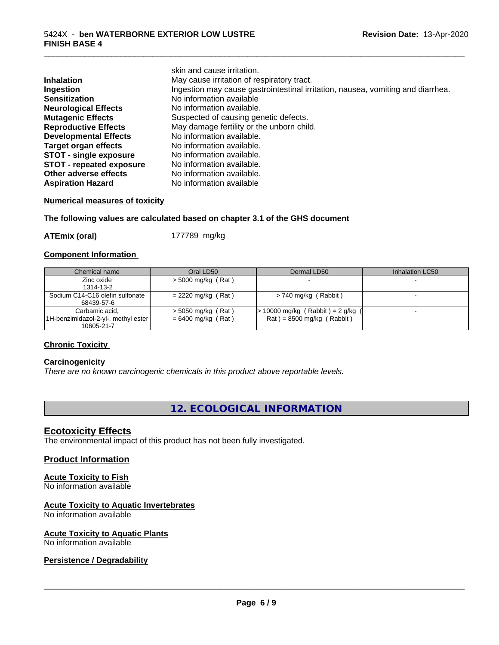|                                 | skin and cause irritation.                                                      |
|---------------------------------|---------------------------------------------------------------------------------|
| <b>Inhalation</b>               | May cause irritation of respiratory tract.                                      |
| Ingestion                       | Ingestion may cause gastrointestinal irritation, nausea, vomiting and diarrhea. |
| <b>Sensitization</b>            | No information available                                                        |
| <b>Neurological Effects</b>     | No information available.                                                       |
| <b>Mutagenic Effects</b>        | Suspected of causing genetic defects.                                           |
| <b>Reproductive Effects</b>     | May damage fertility or the unborn child.                                       |
| <b>Developmental Effects</b>    | No information available.                                                       |
| <b>Target organ effects</b>     | No information available.                                                       |
| <b>STOT - single exposure</b>   | No information available.                                                       |
| <b>STOT - repeated exposure</b> | No information available.                                                       |
| Other adverse effects           | No information available.                                                       |
| <b>Aspiration Hazard</b>        | No information available                                                        |

\_\_\_\_\_\_\_\_\_\_\_\_\_\_\_\_\_\_\_\_\_\_\_\_\_\_\_\_\_\_\_\_\_\_\_\_\_\_\_\_\_\_\_\_\_\_\_\_\_\_\_\_\_\_\_\_\_\_\_\_\_\_\_\_\_\_\_\_\_\_\_\_\_\_\_\_\_\_\_\_\_\_\_\_\_\_\_\_\_\_\_\_\_

# **Numerical measures of toxicity**

# **The following values are calculated based on chapter 3.1 of the GHS document**

**ATEmix (oral)** 177789 mg/kg

# **Component Information**

| Chemical name                                                         | Oral LD50                                    | Dermal LD50                                                            | Inhalation LC50 |
|-----------------------------------------------------------------------|----------------------------------------------|------------------------------------------------------------------------|-----------------|
| Zinc oxide<br>1314-13-2                                               | $>$ 5000 mg/kg (Rat)                         |                                                                        |                 |
| Sodium C14-C16 olefin sulfonate<br>68439-57-6                         | $= 2220$ mg/kg (Rat)                         | $> 740$ mg/kg (Rabbit)                                                 |                 |
| Carbamic acid,<br>[1H-benzimidazol-2-yl-, methyl ester]<br>10605-21-7 | $>$ 5050 mg/kg (Rat)<br>$= 6400$ mg/kg (Rat) | $\cdot$ 10000 mg/kg (Rabbit) = 2 g/kg (<br>$Rat$ = 8500 mg/kg (Rabbit) |                 |

# **Chronic Toxicity**

# **Carcinogenicity**

*There are no known carcinogenic chemicals in this product above reportable levels.*

# **12. ECOLOGICAL INFORMATION**

# **Ecotoxicity Effects**

The environmental impact of this product has not been fully investigated.

# **Product Information**

# **Acute Toxicity to Fish**

No information available

# **Acute Toxicity to Aquatic Invertebrates**

No information available

# **Acute Toxicity to Aquatic Plants**

No information available

# **Persistence / Degradability**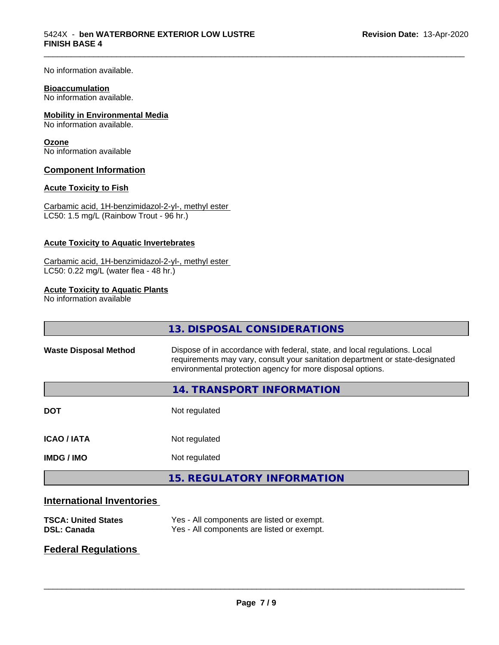No information available.

#### **Bioaccumulation**

No information available.

# **Mobility in Environmental Media**

No information available.

# **Ozone**

No information available

# **Component Information**

# **Acute Toxicity to Fish**

Carbamic acid, 1H-benzimidazol-2-yl-, methyl ester LC50: 1.5 mg/L (Rainbow Trout - 96 hr.)

# **Acute Toxicity to Aquatic Invertebrates**

Carbamic acid, 1H-benzimidazol-2-yl-, methyl ester LC50: 0.22 mg/L (water flea - 48 hr.)

# **Acute Toxicity to Aquatic Plants**

No information available

|                              | 13. DISPOSAL CONSIDERATIONS                                                                                                                                                                                               |
|------------------------------|---------------------------------------------------------------------------------------------------------------------------------------------------------------------------------------------------------------------------|
| <b>Waste Disposal Method</b> | Dispose of in accordance with federal, state, and local regulations. Local<br>requirements may vary, consult your sanitation department or state-designated<br>environmental protection agency for more disposal options. |
|                              | <b>14. TRANSPORT INFORMATION</b>                                                                                                                                                                                          |
| <b>DOT</b>                   | Not regulated                                                                                                                                                                                                             |
| <b>ICAO / IATA</b>           | Not regulated                                                                                                                                                                                                             |
| <b>IMDG/IMO</b>              | Not regulated                                                                                                                                                                                                             |
|                              | <b>15. REGULATORY INFORMATION</b>                                                                                                                                                                                         |
|                              |                                                                                                                                                                                                                           |

\_\_\_\_\_\_\_\_\_\_\_\_\_\_\_\_\_\_\_\_\_\_\_\_\_\_\_\_\_\_\_\_\_\_\_\_\_\_\_\_\_\_\_\_\_\_\_\_\_\_\_\_\_\_\_\_\_\_\_\_\_\_\_\_\_\_\_\_\_\_\_\_\_\_\_\_\_\_\_\_\_\_\_\_\_\_\_\_\_\_\_\_\_

# **International Inventories**

| <b>TSCA: United States</b> | Yes - All components are listed or exempt. |
|----------------------------|--------------------------------------------|
| <b>DSL: Canada</b>         | Yes - All components are listed or exempt. |

# **Federal Regulations**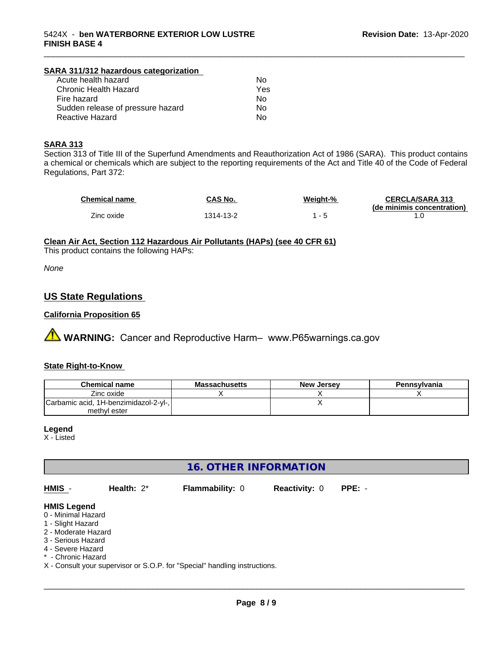#### **SARA 311/312 hazardous categorization** Acute health hazard

| .   |
|-----|
| Yes |
| N٥  |
| Nο  |
| N٥  |
|     |

# **SARA 313**

Section 313 of Title III of the Superfund Amendments and Reauthorization Act of 1986 (SARA). This product contains a chemical or chemicals which are subject to the reporting requirements of the Act and Title 40 of the Code of Federal Regulations, Part 372:

| Chemical name | CAS No.   | Weight-% | <b>CERCLA/SARA 313</b><br>(de minimis concentration) |
|---------------|-----------|----------|------------------------------------------------------|
| Zinc oxide    | 1314-13-2 | - 5      |                                                      |

\_\_\_\_\_\_\_\_\_\_\_\_\_\_\_\_\_\_\_\_\_\_\_\_\_\_\_\_\_\_\_\_\_\_\_\_\_\_\_\_\_\_\_\_\_\_\_\_\_\_\_\_\_\_\_\_\_\_\_\_\_\_\_\_\_\_\_\_\_\_\_\_\_\_\_\_\_\_\_\_\_\_\_\_\_\_\_\_\_\_\_\_\_

# **Clean Air Act,Section 112 Hazardous Air Pollutants (HAPs) (see 40 CFR 61)**

This product contains the following HAPs:

*None*

# **US State Regulations**

# **California Proposition 65**

**A WARNING:** Cancer and Reproductive Harm– www.P65warnings.ca.gov

# **State Right-to-Know**

| <b>Chemical name</b>                  | <b>Massachusetts</b> | <b>New Jersey</b> | Pennsylvania |
|---------------------------------------|----------------------|-------------------|--------------|
| Zinc oxide                            |                      |                   |              |
| Carbamic acid, 1H-benzimidazol-2-yl-, |                      |                   |              |
| methyl ester                          |                      |                   |              |

#### **Legend**

X - Listed

# **16. OTHER INFORMATION**

| HMIS                                    | Health: $2^*$ | <b>Flammability: 0</b> | <b>Reactivity: 0</b> | $PPE: -$ |  |
|-----------------------------------------|---------------|------------------------|----------------------|----------|--|
| <b>HMIS Legend</b>                      |               |                        |                      |          |  |
| 0 - Minimal Hazard<br>1 - Slight Hazard |               |                        |                      |          |  |
| 2 - Moderate Hazard                     |               |                        |                      |          |  |
| 3 - Serious Hazard                      |               |                        |                      |          |  |
| 4 - Severe Hazard                       |               |                        |                      |          |  |

- Chronic Hazard

X - Consult your supervisor or S.O.P. for "Special" handling instructions.